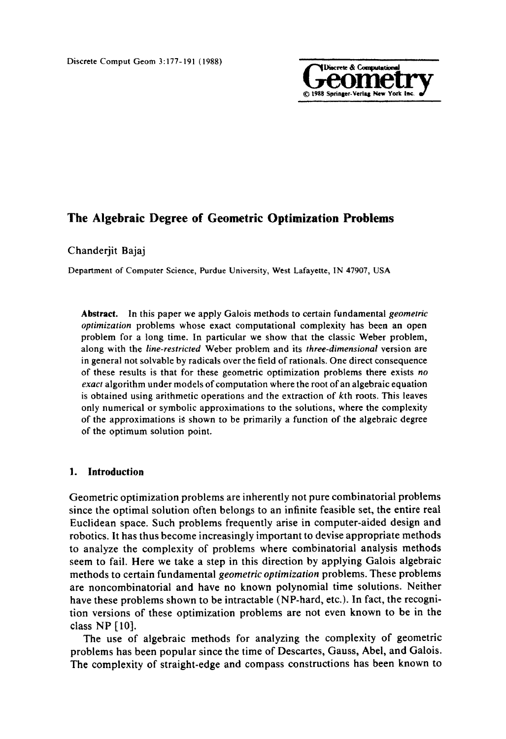

## Chanderjit Bajaj

Department of Computer Science, Purdue University, West Lafayette, IN 47907, USA

**Abstract.** In this paper we apply Galois methods to certain fundamental *geometric optimization* problems whose exact computational complexity has been an open problem for a long time. In particular we show that the classic Weber problem, along with the *line-restricted* Weber problem and its *three-dimensional* version are in general not solvable by radicals over the field of rationals. One direct consequence of these results is that for these geometric optimization problems there exists *no exact* algorithm under models of computation where the root of an algebraic equation is obtained using arithmetic operations and the extraction of kth roots. This leaves only numerical or symbolic approximations to the solutions, where the complexity of the approximations is shown to be primarily a function of the algebraic degree of the optimum solution point.

## **1. Introduction**

Geometric optimization problems are inherently not pure combinatorial problems since the optimal solution often belongs to an infinite feasible set, the entire real Euclidean space. Such problems frequently arise in computer-aided design and robotics. It has thus become increasingly important to devise appropriate methods to analyze the complexity of problems where combinatorial analysis methods seem to fail. Here we take a step in this direction by applying Galois algebraic methods to certain fundamental *geometric optimization* problems. These problems are noncombinatorial and have no known polynomial time solutions. Neither have these problems shown to be intractable (NP-hard, etc.). In fact, the recognition versions of these optimization problems are not even known to be in the class NP [10].

The use of algebraic methods for analyzing the complexity of geometric problems has been popular since the time of Descartes, Gauss, Abel, and Galois. The complexity of straight-edge and compass constructions has been known to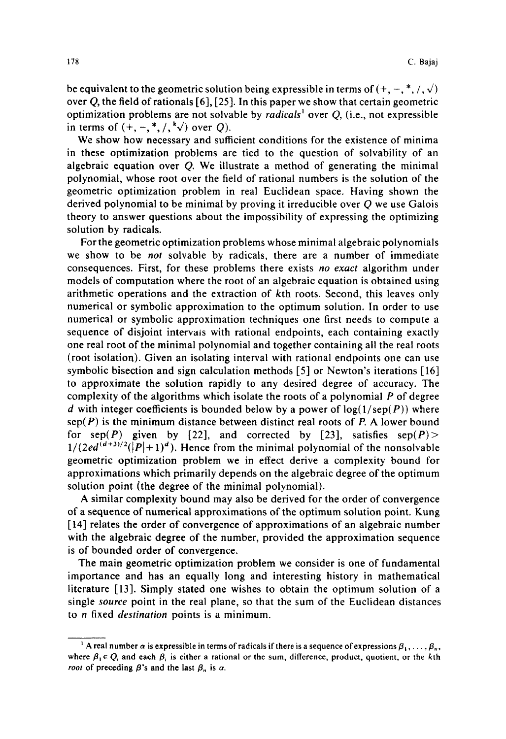be equivalent to the geometric solution being expressible in terms of  $(+, -, *, /, \sqrt)$ over Q, the field of rationals [6], [25]. In this paper we show that certain geometric optimization problems are not solvable by *radicals<sup>1</sup>* over Q, (i.e., not expressible in terms of  $(+, -, *, /, ^k\sqrt{})$  over Q).

We show how necessary and sufficient conditions for the existence of minima in these optimization problems are tied to the question of solvability of an algebraic equation over Q. We illustrate a method of generating the minimal polynomial, whose root over the field of rational numbers is the solution of the geometric optimization problem in real Euclidean space. Having shown the derived polynomial to be minimal by proving it irreducible over Q we use Galois theory to answer questions about the impossibility of expressing the optimizing solution by radicals.

For the geometric optimization problems whose minimal algebraic polynomials we show to be *not* solvable by radicals, there are a number of immediate consequences. First, for these problems there exists *no exact* algorithm under models of computation where the root of an algebraic equation is obtained using arithmetic operations and the extraction of kth roots. Second, this leaves only numerical or symbolic approximation to the optimum solution. In order to use numerical or symbolic approximation techniques one first needs to compute a sequence of disjoint intervals with rational endpoints, each containing exactly one real root of the minimal polynomial and together containing all the real roots (root isolation). Given an isolating interval with rational endpoints one can use symbolic bisection and sign calculation methods [5] or Newton's iterations [16] to approximate the solution rapidly to any desired degree of accuracy. The complexity of the algorithms which isolate the roots of a polynomial  $P$  of degree d with integer coefficients is bounded below by a power of  $log(1/sep(P))$  where  $\text{sep}(P)$  is the minimum distance between distinct real roots of P. A lower bound for sep(P) given by [22], and corrected by [23], satisfies  $sep(P)$  $1/(2ed^{(d+3)/2}(|P|+1)^d)$ . Hence from the minimal polynomial of the nonsolvable geometric optimization problem we in effect derive a complexity bound for approximations which primarily depends on the algebraic degree of the optimum solution point (the degree of the minimal polynomial).

A similar complexity bound may also be derived for the order of convergence of a sequence of numerical approximations of the optimum solution point. Kung [14] relates the order of convergence of approximations of an algebraic number with the algebraic degree of the number, provided the approximation sequence is of bounded order of convergence.

The main geometric optimization problem we consider is one of fundamental importance and has an equally long and interesting history in mathematical literature [13]. Simply stated one wishes to obtain the optimum solution of a single *source* point in the real plane, so that the sum of the Euclidean distances to n fixed *destination* points is a minimum.

<sup>&</sup>lt;sup>1</sup> A real number  $\alpha$  is expressible in terms of radicals if there is a sequence of expressions  $\beta_1,\ldots,\beta_n$ , where  $\beta_1 \in Q$ , and each  $\beta_i$  is either a rational or the sum, difference, product, quotient, or the kth *root* of preceding  $\beta$ 's and the last  $\beta_n$  is  $\alpha$ .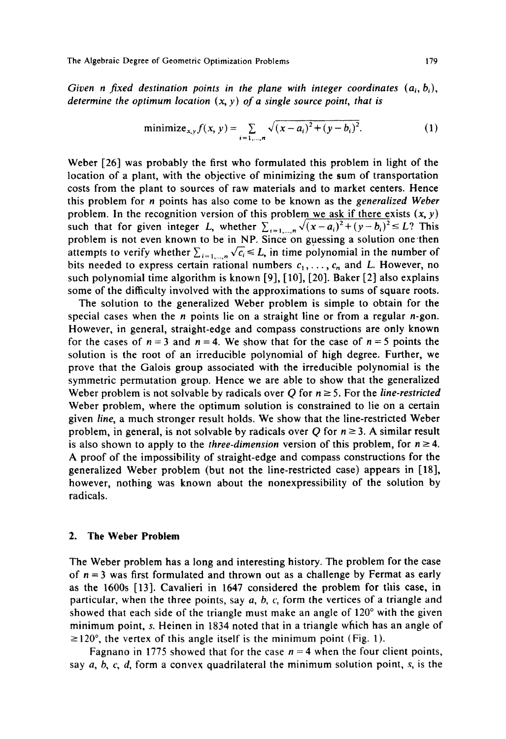Given *n* fixed destination points in the plane with integer coordinates  $(a_i, b_i)$ , *determine the optimum location (x, y) of a single source point, that is* 

minimize<sub>x,y</sub> 
$$
f(x, y) = \sum_{i=1,\dots,n} \sqrt{(x-a_i)^2 + (y-b_i)^2}
$$
. (1)

Weber [26] was probably the first who formulated this problem in light of the location of a plant, with the objective of minimizing the sum of transportation costs from the plant to sources of raw materials and to market centers. Hence this problem for n points has also come to be known as the *generalized Weber*  problem. In the recognition version of this problem we ask if there exists  $(x, y)$ such that for given integer L, whether  $\sum_{i=1,\dots,n} \sqrt{(x-a_i)^2 + (y-b_i)^2} \le L$ ? This problem is not even known to be in NP. Since on guessing a solution one then attempts to verify whether  $\sum_{i=1,...,n} \sqrt{c_i} \leq L$ , in time polynomial in the number of bits needed to express certain rational numbers  $c_1, \ldots, c_n$  and L. However, no such polynomial time algorithm is known [9], [10], [20]. Baker [2] also explains some of the difficulty involved with the approximations to sums of square roots.

The solution to the generalized Weber problem is simple to obtain for the special cases when the *n* points lie on a straight line or from a regular *n*-gon. However, in general, straight-edge and compass constructions are only known for the cases of  $n = 3$  and  $n = 4$ . We show that for the case of  $n = 5$  points the solution is the root of an irreducible polynomial of high degree. Further, we prove that the Galois group associated with the irreducible polynomial is the symmetric permutation group. Hence we are able to show that the generalized Weber problem is not solvable by radicals over Q for  $n \geq 5$ . For the *line-restricted* Weber problem, where the optimum solution is constrained to lie on a certain given *line,* a much stronger result holds. We show that the line-restricted Weber problem, in general, is not solvable by radicals over Q for  $n \ge 3$ . A similar result is also shown to apply to the *three-dimension* version of this problem, for  $n \ge 4$ . A proof of the impossibility of straight-edge and compass constructions for the generalized Weber problem (but not the line-restricted case) appears in [18], however, nothing was known about the nonexpressibility of the solution by radicals.

## **2. The Weber Problem**

The Weber problem has a long and interesting history. The problem for the case of  $n = 3$  was first formulated and thrown out as a challenge by Fermat as early as the 1600s [13]. Cavalieri in 1647 considered the problem for this case, in particular, when the three points, say  $a, b, c$ , form the vertices of a triangle and showed that each side of the triangle must make an angle of 120° with the given minimum point, s. Heinen in 1834 noted that in a triangle which has an angle of  $\geq$ 120°, the vertex of this angle itself is the minimum point (Fig. 1).

Fagnano in 1775 showed that for the case  $n = 4$  when the four client points, say  $a, b, c, d$ , form a convex quadrilateral the minimum solution point, s, is the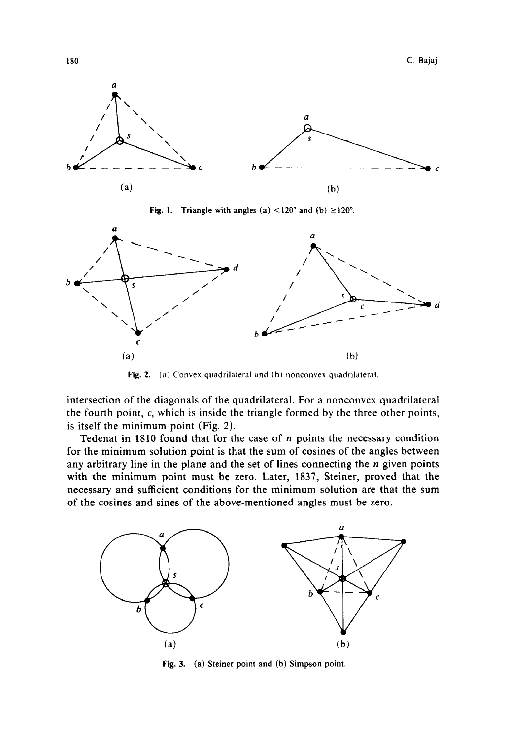

**Fig. 1.** Triangle with angles (a)  $\lt 120^\circ$  and (b)  $\geq 120^\circ$ .



Fig. 2. (a) Convex quadrilateral and (b) nonconvex quadrilateral.

intersection of the diagonals of the quadrilateral. For a nonconvex quadrilateral the fourth point, c, which is inside the triangle formed by the three other points, is itself the minimum point (Fig. 2).

Tedenat in 1810 found that for the case of  $n$  points the necessary condition for the minimum solution point is that the sum of cosines of the angles between any arbitrary line in the plane and the set of lines connecting the  $n$  given points with the minimum point must be zero. Later, 1837, Steiner, proved that the necessary and sufficient conditions for the minimum solution are that the sum of the cosines and sines of the above-mentioned angles must be zero.



**Fig. 3.**  (a) Steiner point and (b) Simpson point.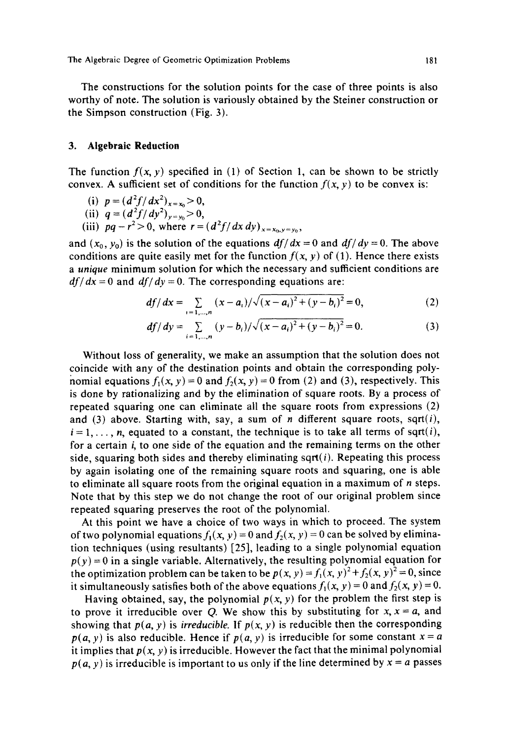The constructions for the solution points for the case of three points is also worthy of note. The solution is variously obtained by the Steiner construction or the Simpson construction (Fig. 3).

#### **3. Algebraic Reduction**

The function  $f(x, y)$  specified in (1) of Section 1, can be shown to be strictly convex. A sufficient set of conditions for the function  $f(x, y)$  to be convex is:

(i) 
$$
p = (d^2 f/dx^2)_{x=x_0} > 0
$$
,

- (ii)  $q = (d^2 f/dy^2)_{y=y_0} > 0$ ,
- (iii)  $pq r^2 > 0$ , where  $r = (d^2f/dx \, dy)_{x=x_0, y=y_0}$ ,

and  $(x_0, y_0)$  is the solution of the equations  $df/dx = 0$  and  $df/dy = 0$ . The above conditions are quite easily met for the function  $f(x, y)$  of (1). Hence there exists *a unique* minimum solution for which the necessary and sufficient conditions are  $df/dx = 0$  and  $df/dy = 0$ . The corresponding equations are:

$$
df/dx = \sum_{i=1,\dots,n} (x-a_i)/\sqrt{(x-a_i)^2 + (y-b_i)^2} = 0,
$$
 (2)

$$
df/dy = \sum_{i=1,\dots,n} (y-b_i)/\sqrt{(x-a_i)^2 + (y-b_i)^2} = 0.
$$
 (3)

Without loss of generality, we make an assumption that the solution does not coincide with any of the destination points and obtain the corresponding polynomial equations  $f_1(x, y) = 0$  and  $f_2(x, y) = 0$  from (2) and (3), respectively. This is done by rationalizing and by the elimination of square roots. By a process of repeated squaring one can eliminate all the square roots from expressions (2) and (3) above. Starting with, say, a sum of n different square roots, sqrt(i),  $i = 1, \ldots, n$ , equated to a constant, the technique is to take all terms of sqrt(i), for a certain i, to one side of the equation and the remaining terms on the other side, squaring both sides and thereby eliminating sqrt $(i)$ . Repeating this process by again isolating one of the remaining square roots and squaring, one is able to eliminate all square roots from the original equation in a maximum of  $n$  steps. Note that by this step we do not change the root of our original problem since repeated squaring preserves the root of the polynomial.

At this point we have a choice of two ways in which to proceed. The system of two polynomial equations  $f_1(x, y) = 0$  and  $f_2(x, y) = 0$  can be solved by elimination techniques (using resultants) [25], leading to a single polynomial equation  $p(y) = 0$  in a single variable. Alternatively, the resulting polynomial equation for the optimization problem can be taken to be  $p(x, y) = f_1(x, y)^2 + f_2(x, y)^2 = 0$ , since it simultaneously satisfies both of the above equations  $f_1(x, y) = 0$  and  $f_2(x, y) = 0$ .

Having obtained, say, the polynomial  $p(x, y)$  for the problem the first step is to prove it irreducible over Q. We show this by substituting for  $x, x = a$ , and showing that  $p(a, y)$  is *irreducible.* If  $p(x, y)$  is reducible then the corresponding  $p(a, y)$  is also reducible. Hence if  $p(a, y)$  is irreducible for some constant  $x = a$ it implies that  $p(x, y)$  is irreducible. However the fact that the minimal polynomial  $p(a, y)$  is irreducible is important to us only if the line determined by  $x = a$  passes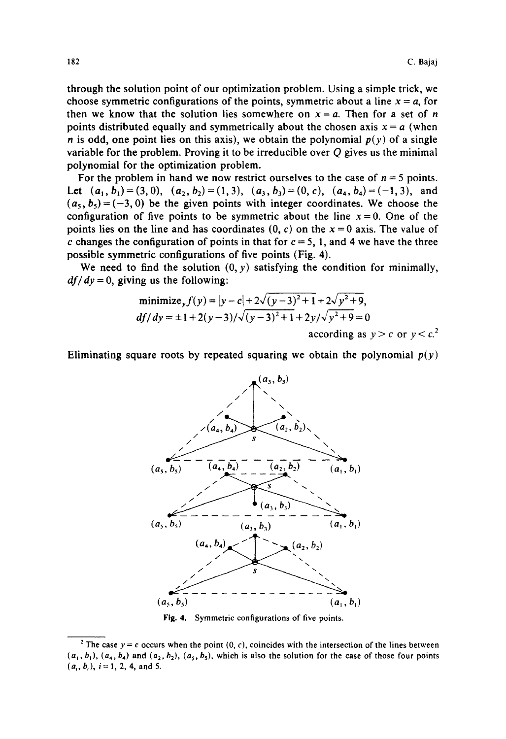through the solution point of our optimization problem. Using a simple trick, we choose symmetric configurations of the points, symmetric about a line  $x = a$ , for then we know that the solution lies somewhere on  $x = a$ . Then for a set of n points distributed equally and symmetrically about the chosen axis  $x = a$  (when *n* is odd, one point lies on this axis), we obtain the polynomial  $p(y)$  of a single variable for the problem. Proving it to be irreducible over Q gives us the minimal polynomial for the optimization problem.

For the problem in hand we now restrict ourselves to the case of  $n = 5$  points. Let  $(a_1, b_1) = (3,0), (a_2, b_2) = (1,3), (a_3, b_3) = (0, c), (a_4, b_4) = (-1,3),$  and  $(a_5, b_5) = (-3, 0)$  be the given points with integer coordinates. We choose the configuration of five points to be symmetric about the line  $x = 0$ . One of the points lies on the line and has coordinates  $(0, c)$  on the  $x = 0$  axis. The value of c changes the configuration of points in that for  $c = 5$ , 1, and 4 we have the three possible symmetric configurations of five points (Fig. 4).

We need to find the solution  $(0, y)$  satisfying the condition for minimally,  $df/dy = 0$ , giving us the following:

minimize<sub>y</sub> 
$$
f(y) = |y - c| + 2\sqrt{(y - 3)^2 + 1} + 2\sqrt{y^2 + 9}
$$
,  
\n $df/dy = \pm 1 + 2(y - 3)/\sqrt{(y - 3)^2 + 1} + 2y/\sqrt{y^2 + 9} = 0$   
\naccording as  $y > c$  or  $y < c$ .<sup>2</sup>

Eliminating square roots by repeated squaring we obtain the polynomial  $p(y)$ 



Fig. 4. Symmetric configurations of five points.

<sup>&</sup>lt;sup>2</sup> The case  $y = c$  occurs when the point (0, c), coincides with the intersection of the lines between  $(a_1, b_1)$ ,  $(a_4, b_4)$  and  $(a_2, b_2)$ ,  $(a_5, b_5)$ , which is also the solution for the case of those four points  $(a_i, b_i)$ ,  $i = 1, 2, 4$ , and 5.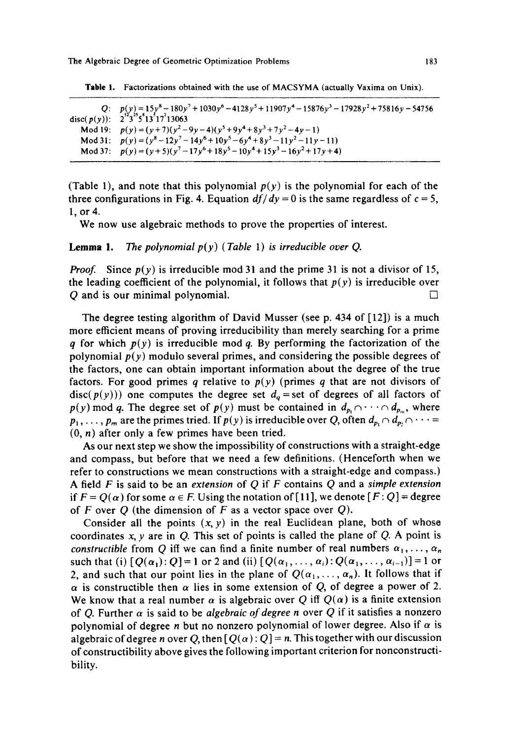| Q: $p(y) = 15y^8 - 180y^7 + 1030y^6 - 4128y^5 + 11907y^4 - 15876y^3 - 17928y^2 + 75816y - 54756$<br>disc( $p(y)$ ): $2^{52}3^{55}5^{8}13^{5}17^{2}13063$ |
|----------------------------------------------------------------------------------------------------------------------------------------------------------|
|                                                                                                                                                          |
| Mod 19: $p(y) = (y+7)(y^2-9y-4)(y^5+9y^4+8y^3+7y^2-4y-1)$                                                                                                |
| Mod 31: $p(y) = (y^8 - 12y^7 - 14y^6 + 10y^5 - 6y^4 + 8y^3 - 11y^2 - 11y - 11)$                                                                          |
| Mod 37: $p(y) = (y+5)(y^7-17y^6+18y^5-10y^4+15y^3-16y^2+17y+4)$                                                                                          |

Table 1. Factorizations obtained with the use of MACSYMA (actually Vaxima on Unix).

(Table 1), and note that this polynomial  $p(y)$  is the polynomial for each of the three configurations in Fig. 4. Equation  $df/dy = 0$  is the same regardless of  $c = 5$ , 1, or 4.

We now use algebraic methods to prove the properties of interest.

**Lemma 1.** The *polynomial*  $p(y)$  (Table 1) *is irreducible over Q.* 

*Proof.* Since  $p(y)$  is irreducible mod 31 and the prime 31 is not a divisor of 15, the leading coefficient of the polynomial, it follows that  $p(y)$  is irreducible over  $Q$  and is our minimal polynomial.

The degree testing algorithm of David Musser (see p. 434 of [12]) is a much more efficient means of proving irreducibility than merely searching for a prime q for which  $p(y)$  is irreducible mod q. By performing the factorization of the polynomial  $p(y)$  modulo several primes, and considering the possible degrees of the factors, one can obtain important information about the degree of the true factors. For good primes  $q$  relative to  $p(y)$  (primes  $q$  that are not divisors of disc( $p(y)$ )) one computes the degree set  $d_q$  = set of degrees of all factors of  $p(y)$  mod q. The degree set of  $p(y)$  must be contained in  $d_{p_1} \cap \cdots \cap d_{p_m}$ , where  $p_1,\ldots, p_m$  are the primes tried. If  $p(y)$  is irreducible over Q, often  $d_{p_1} \cap d_{p_2} \cap \cdots$  $(0, n)$  after only a few primes have been tried.

As our next step we show the impossibility of constructions with a straight-edge and compass, but before that we need a few definitions. (Henceforth when we refer to constructions we mean constructions with a straight-edge and compass.) A field F is said to be an *extension* of Q if F contains Q and a *simple extension*  if  $F = Q(\alpha)$  for some  $\alpha \in F$ . Using the notation of [11], we denote  $[F:Q] =$  degree of F over Q (the dimension of F as a vector space over  $Q$ ).

Consider all the points  $(x, y)$  in the real Euclidean plane, both of whose coordinates  $x, y$  are in Q. This set of points is called the plane of Q. A point is *constructible* from Q iff we can find a finite number of real numbers  $\alpha_1, \ldots, \alpha_n$ such that (i)  $[Q(\alpha_1): Q]=1$  or 2 and (ii)  $[Q(\alpha_1,\ldots,\alpha_i): Q(\alpha_1,\ldots,\alpha_{i-1})]=1$  or 2, and such that our point lies in the plane of  $Q(\alpha_1,\ldots,\alpha_n)$ . It follows that if  $\alpha$  is constructible then  $\alpha$  lies in some extension of Q, of degree a power of 2. We know that a real number  $\alpha$  is algebraic over Q iff  $Q(\alpha)$  is a finite extension of Q. Further  $\alpha$  is said to be *algebraic of degree n* over Q if it satisfies a nonzero polynomial of degree *n* but no nonzero polynomial of lower degree. Also if  $\alpha$  is algebraic of degree n over Q, then  $[Q(\alpha):Q] = n$ . This together with our discussion of constructibility above gives the following important criterion for nonconstructibility.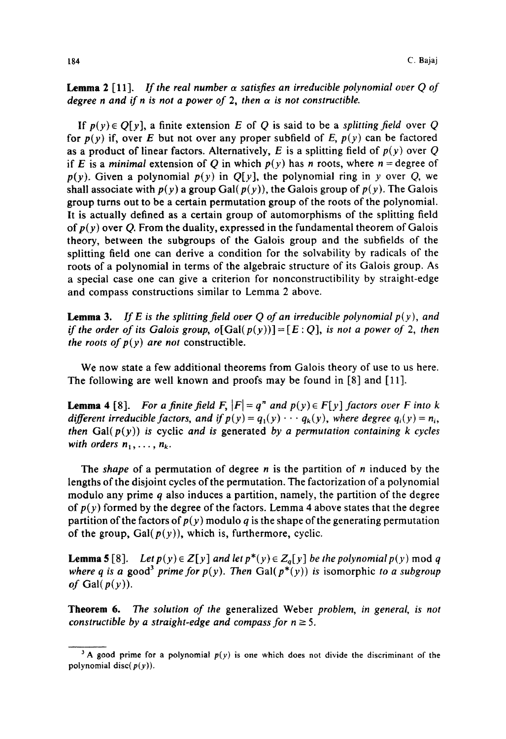**Lemma 2** [11]. *If the real number*  $\alpha$  *satisfies an irreducible polynomial over Q of degree n and if n is not a power of 2, then*  $\alpha$  *is not constructible.* 

If  $p(y) \in O[y]$ , a finite extension E of Q is said to be a *splitting field* over Q for  $p(y)$  if, over E but not over any proper subfield of E,  $p(y)$  can be factored as a product of linear factors. Alternatively, E is a splitting field of  $p(y)$  over Q if E is a *minimal* extension of Q in which  $p(y)$  has n roots, where  $n =$  degree of  $p(y)$ . Given a polynomial  $p(y)$  in  $Q[y]$ , the polynomial ring in y over Q, we shall associate with  $p(y)$  a group Gal( $p(y)$ ), the Galois group of  $p(y)$ . The Galois group turns out to be a certain permutation group of the roots of the polynomial. It is actually defined as a certain group of automorphisms of the splitting field of  $p(y)$  over Q. From the duality, expressed in the fundamental theorem of Galois theory, between the subgroups of the Galois group and the subfields of the splitting field one can derive a condition for the solvability by radicals of the roots of a polynomial in terms of the algebraic structure of its Galois group. As a special case one can give a criterion for nonconstructibility by straight-edge and compass constructions similar to Lemma 2 above.

**Lemma 3.** If E is the splitting field over Q of an irreducible polynomial  $p(y)$ , and *if the order of its Galois group, o*[Gal( $p(y)$ )] = [ $E:Q$ ], *is not a power of 2, then the roots of*  $p(y)$  *are not constructible.* 

We now state a few additional theorems from Galois theory of use to us here. The following are well known and proofs may be found in [8] and [11].

**Lemma 4** [8]. *For a finite field F,*  $|F| = q^n$  and  $p(y) \in F[y]$  factors over F into k *different irreducible factors, and if*  $p(y) = q_1(y) \cdots q_k(y)$ , where degree  $q_i(y) = n_i$ , *then*  $Gal(p(y))$  *is cyclic and is generated by a permutation containing k cycles with orders*  $n_1, \ldots, n_k$ .

*The shape* of a permutation of degree n is the partition of n induced by the lengths of the disjoint cycles of the permutation. The factorization of a polynomial modulo any prime  $q$  also induces a partition, namely, the partition of the degree of  $p(y)$  formed by the degree of the factors. Lemma 4 above states that the degree partition of the factors of  $p(y)$  modulo q is the shape of the generating permutation of the group,  $Gal(p(y))$ , which is, furthermore, cyclic.

**Lemma 5** [8]. *Let*  $p(y) \in Z[y]$  and let  $p^*(y) \in Z_q[y]$  be the polynomial  $p(y)$  mod q *where q is a good*<sup>3</sup> *prime for p(y). Then* Gal( $p^*(y)$ ) *is isomorphic to a subgroup of* Gal( $p(y)$ ).

**Theorem 6.** The *solution of the* generalized Weber *problem, in general, is not constructible by a straight-edge and compass for*  $n \geq 5$ *.* 

<sup>&</sup>lt;sup>3</sup> A good prime for a polynomial  $p(y)$  is one which does not divide the discriminant of the polynomial disc( $p(y)$ ).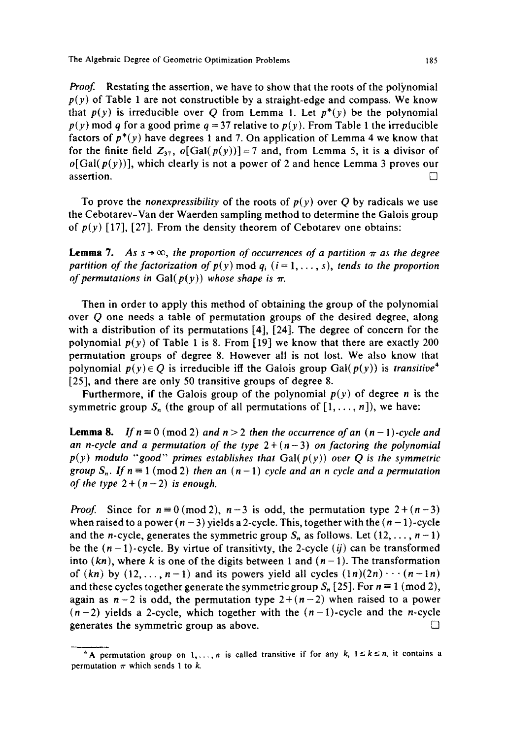*Proof.* Restating the assertion, we have to show that the roots of the polynomial  $p(y)$  of Table 1 are not constructible by a straight-edge and compass. We know that  $p(y)$  is irreducible over Q from Lemma 1. Let  $p^*(y)$  be the polynomial  $p(y)$  mod q for a good prime  $q = 37$  relative to  $p(y)$ . From Table 1 the irreducible factors of  $p^*(y)$  have degrees 1 and 7. On application of Lemma 4 we know that for the finite field  $Z_{37}$ ,  $o[Gal(p(y))] = 7$  and, from Lemma 5, it is a divisor of  $o[Gal(p(y))]$ , which clearly is not a power of 2 and hence Lemma 3 proves our assertion.  $\Box$ 

To prove the *nonexpressibility* of the roots of  $p(y)$  over Q by radicals we use the Cebotarev-Van der Waerden sampling method to determine the Galois group of  $p(y)$  [17], [27]. From the density theorem of Cebotarev one obtains:

**Lemma 7.** As  $s \rightarrow \infty$ , the proportion of occurrences of a partition  $\pi$  as the degree *partition of the factorization of*  $p(y)$  *mod*  $q_i$  *(i = 1, ..., s), tends to the proportion of permutations in Gal(* $p(y)$ *) whose shape is*  $\pi$ *.* 

Then in order to apply this method of obtaining the group of the polynomial over Q one needs a table of permutation groups of the desired degree, along with a distribution of its permutations [4], [24]. The degree of concern for the polynomial  $p(y)$  of Table 1 is 8. From [19] we know that there are exactly 200 permutation groups of degree 8. However all is not lost. We also know that polynomial  $p(y) \in Q$  is irreducible iff the Galois group Gal( $p(y)$ ) is *transitive*<sup>4</sup> [25], and there are only 50 transitive groups of degree 8.

Furthermore, if the Galois group of the polynomial  $p(y)$  of degree n is the symmetric group  $S_n$  (the group of all permutations of  $[1,\ldots,n]$ ), we have:

**Lemma 8.** *If*  $n \equiv 0 \pmod{2}$  *and*  $n > 2$  *then the occurrence of an*  $(n - 1)$ -cycle *and* an n-cycle and a permutation of the type  $2+(n-3)$  on factoring the polynomial  $p(y)$  modulo "good" primes establishes that  $Gal(p(y))$  over Q is the symmetric *group*  $S_n$ . If  $n \equiv 1 \pmod{2}$  *then an*  $(n-1)$  *cycle and an n cycle and a permutation of the type*  $2+(n-2)$  *is enough.* 

*Proof.* Since for  $n=0 \pmod{2}$ ,  $n-3$  is odd, the permutation type  $2+(n-3)$ when raised to a power  $(n-3)$  yields a 2-cycle. This, together with the  $(n-1)$ -cycle and the *n*-cycle, generates the symmetric group  $S_n$  as follows. Let  $(12, \ldots, n-1)$ be the  $(n - 1)$ -cycle. By virtue of transitivty, the 2-cycle (ij) can be transformed into  $(kn)$ , where k is one of the digits between 1 and  $(n-1)$ . The transformation of  $(kn)$  by  $(12, \ldots, n-1)$  and its powers yield all cycles  $(1n)(2n) \cdots (n-1n)$ and these cycles together generate the symmetric group  $S_n$  [25]. For  $n \equiv 1 \pmod{2}$ , again as  $n-2$  is odd, the permutation type  $2+(n-2)$  when raised to a power  $(n-2)$  yields a 2-cycle, which together with the  $(n-1)$ -cycle and the n-cycle generates the symmetric group as above.  $\Box$ 

<sup>&</sup>lt;sup>4</sup> A permutation group on 1,..., *n* is called transitive if for any k,  $1 \le k \le n$ , it contains a permutation  $\pi$  which sends 1 to k.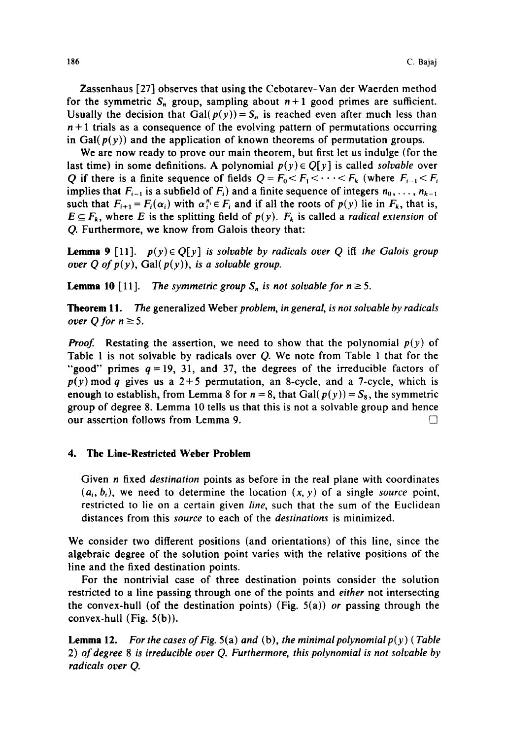Zassenhaus [27] observes that using the Cebotarev-Van der Waerden method for the symmetric  $S_n$  group, sampling about  $n+1$  good primes are sufficient. Usually the decision that Gal( $p(y)$ ) =  $S_n$  is reached even after much less than  $n+1$  trials as a consequence of the evolving pattern of permutations occurring in Gal( $p(y)$ ) and the application of known theorems of permutation groups.

We are now ready to prove our main theorem, but first let us indulge (for the last time) in some definitions. A polynomial  $p(y) \in Q[y]$  is called *solvable* over Q if there is a finite sequence of fields  $Q = F_0 \le F_1 \le \cdots \le F_k$  (where  $F_{i-1} \le F_i$ implies that  $F_{i-1}$  is a subfield of  $F_i$ ) and a finite sequence of integers  $n_0, \ldots, n_{k-1}$ such that  $F_{i+1} = F_i(\alpha_i)$  with  $\alpha_i^n \in F_i$  and if all the roots of  $p(y)$  lie in  $F_k$ , that is,  $E \subseteq F_k$ , where *E* is the splitting field of  $p(y)$ .  $F_k$  is called a *radical extension* of Q. Furthermore, we know from Galois theory that:

**Lemma 9** [11].  $p(y) \in Q[y]$  *is solvable by radicals over Q iff the Galois group over Q of*  $p(y)$ *, Gal(* $p(y)$ *), is a solvable group.* 

**Lemma 10** [11]. The *symmetric group*  $S_n$  *is not solvable for*  $n \geq 5$ *.* 

**Theorem** 11. The generalized Weber *problem, in general, is not solvable by radicals over Q for*  $n \geq 5$ *.* 

**Proof.** Restating the assertion, we need to show that the polynomial  $p(y)$  of Table 1 is not solvable by radicals over Q. We note from Table 1 that for the "good" primes  $q = 19$ , 31, and 37, the degrees of the irreducible factors of  $p(y)$  mod q gives us a 2+5 permutation, an 8-cycle, and a 7-cycle, which is enough to establish, from Lemma 8 for  $n = 8$ , that Gal( $p(y) = S_8$ , the symmetric group of degree 8. Lemma 10 tells us that this is not a solvable group and hence our assertion follows from Lemma 9.  $\Box$ 

### **4. The Line-Restricted Weber Problem**

Given n fixed *destination* points as before in the real plane with coordinates  $(a_i, b_i)$ , we need to determine the location  $(x, y)$  of a single *source* point, restricted to lie on a certain given *line,* such that the sum of the Euclidean distances from this *source* to each of the *destinations* is minimized.

We consider two different positions (and orientations) of this line, since the algebraic degree of the solution point varies with the relative positions of the line and the fixed destination points.

For the nontrivial case of three destination points consider the solution restricted to a line passing through one of the points and *either* not intersecting the convex-hull (of the destination points) (Fig. 5(a)) *or* passing through the convex-hull (Fig. 5(b)).

**Lemma** 12. *For the cases of Fig.* 5(a) *and* (b), *the minimal polynomial p(y ) ( Table*  2) *of degree 8 is irreducible over Q. Furthermore, this polynomial is not solvable by radicals over Q.*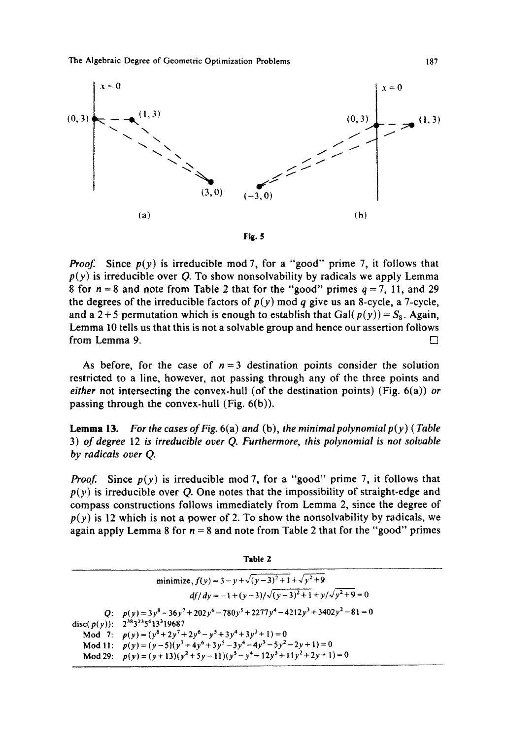

*Proof.* Since  $p(y)$  is irreducible mod 7, for a "good" prime 7, it follows that  $p(y)$  is irreducible over Q. To show nonsolvability by radicals we apply Lemma 8 for  $n = 8$  and note from Table 2 that for the "good" primes  $q = 7$ , 11, and 29 the degrees of the irreducible factors of  $p(y)$  mod q give us an 8-cycle, a 7-cycle, and a 2+5 permutation which is enough to establish that Gal( $p(y)$ ) =  $S_8$ . Again, Lemma 10 tells us that this is not a solvable group and hence our assertion follows from Lemma 9.  $\Box$ 

As before, for the case of  $n = 3$  destination points consider the solution restricted to a line, however, not passing through any of the three points and *either* not intersecting the convex-hull (of the destination points) (Fig. 6(a)) *or*  passing through the convex-hull (Fig. 6(b)).

**Lemma 13.** For the cases of Fig.  $6(a)$  and  $(b)$ , the minimal polynomial  $p(y)$  (Table 3) *of degree* 12 *is irreducible over Q. Furthermore, this polynomial is not solvable by radicals over Q.* 

*Proof.* Since  $p(y)$  is irreducible mod 7, for a "good" prime 7, it follows that  $p(y)$  is irreducible over Q. One notes that the impossibility of straight-edge and compass constructions follows immediately from Lemma 2, since the degree of  $p(y)$  is 12 which is not a power of 2. To show the nonsolvability by radicals, we again apply Lemma 8 for  $n = 8$  and note from Table 2 that for the "good" primes

| $-$ |  |
|-----|--|
|-----|--|

Q:  $p(y) = 3y^8 - 36y^7 + 202y^6 - 780y^5 + 2277y^4 - 4212y^3 + 3402y^2 - 81 = 0$ disc(p(y)):  $2^{38}3^{23}5^{6}13^{3}19687$ Mod 7:  $p(y) = (y^8 + 2y^7 + 2y^6 - y^5 + 3y^4 + 3y^3 + 1) = 0$ Mod 11:  $p(y) = (y-5)(y^7 + 4y^6 + 3y^5 - 3y^4 - 4y^3 - 5y^2 - 2y + 1) = 0$ Mod 29:  $p(y) = (y+13)(y^2+5y-11)(y^5-y^4+12y^3+11y^2+2y+1)=0$ minimize,  $f(y) = 3 - y + \sqrt{(y-3)^2 + 1} + \sqrt{y^2 + 9}$  $df/dy = -1 + (y-3)/\sqrt{(y-3)^2+1} + y/\sqrt{y^2+9} = 0$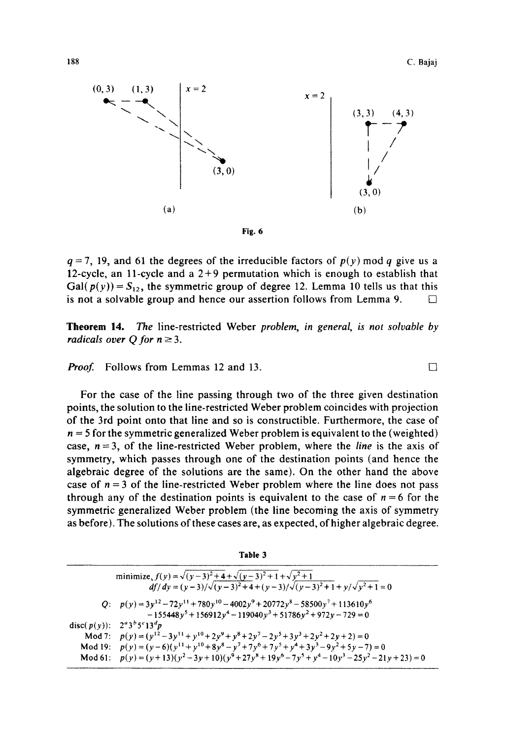П



 $q = 7$ , 19, and 61 the degrees of the irreducible factors of  $p(y)$  mod q give us a 12-cycle, an 11-cycle and a  $2+9$  permutation which is enough to establish that Gal( $p(y)$ ) =  $S_{12}$ , the symmetric group of degree 12. Lemma 10 tells us that this is not a solvable group and hence our assertion follows from Lemma 9.  $\Box$ 

**Theorem** 14. The line-restricted Weber *problem, in general, is not solvable by radicals over Q for*  $n \ge 3$ *.* 

Proof. Follows from Lemmas 12 and 13.

For the case of the line passing through two of the three given destination points, the solution to the line-restricted Weber problem coincides with projection of the 3rd point onto that line and so is constructible. Furthermore, the case of  $n = 5$  for the symmetric generalized Weber problem is equivalent to the (weighted) case,  $n = 3$ , of the line-restricted Weber problem, where the *line* is the axis of symmetry, which passes through one of the destination points (and hence the algebraic degree of the solutions are the same). On the other hand the above case of  $n = 3$  of the line-restricted Weber problem where the line does not pass through any of the destination points is equivalent to the case of  $n = 6$  for the symmetric generalized Weber problem (the line becoming the axis of symmetry as before). The solutions of these cases are, as expected, of higher algebraic degree.

| minimize, $f(y) = \sqrt{(y-3)^2+4} + \sqrt{(y-3)^2+1} + \sqrt{y^2+1}$<br>$df/dy = (y-3)/\sqrt{(y-3)^2+4+(y-3)/\sqrt{(y-3)^2+1}+y/\sqrt{y^2+1}} = 0$ |
|-----------------------------------------------------------------------------------------------------------------------------------------------------|
| Q: $p(y) = 3y^{12} - 72y^{11} + 780y^{10} - 4002y^9 + 20772y^8 - 58500y^7 + 113610y^6$                                                              |
| $-155448y^{5} + 156912y^{4} - 119040y^{3} + 51786y^{2} + 972y - 729 = 0$                                                                            |
| disc( $p(y)$ ): $2^a 3^b 5^c 13^d p$                                                                                                                |
| Mod 7: $p(y) = (y^{12} - 3y^{11} + y^{10} + 2y^9 + y^8 + 2y^7 - 2y^5 + 3y^3 + 2y^2 + 2y + 2) = 0$                                                   |
| Mod 19: $p(y) = (y-6)(y^{11} + y^{10} + 8y^8 - y^7 + 7y^6 + 7y^5 + y^4 + 3y^3 - 9y^2 + 5y - 7) = 0$                                                 |
| Mod 61: $p(y) = (y+13)(y^2-3y+10)(y^9+27y^8+19y^6-7y^5+y^4-10y^3-25y^2-21y+23) = 0$                                                                 |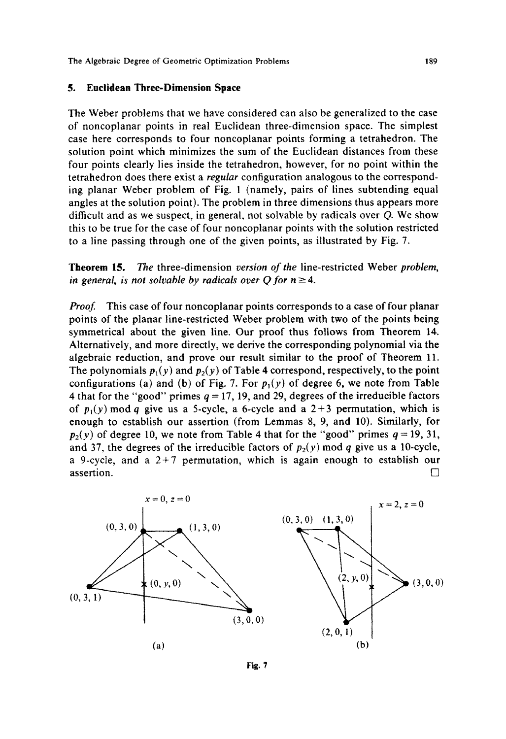#### **5. Euclidean Three-Dimension Space**

The Weber problems that we have considered can also be generalized to the case of noncoplanar points in real Euclidean three-dimension space. The simplest case here corresponds to four noncoplanar points forming a tetrahedron. The solution point which minimizes the sum of the Euclidean distances from these four points clearly lies inside the tetrahedron, however, for no point within the tetrahedron does there exist a *regular* configuration analogous to the corresponding planar Weber problem of Fig. 1 (namely, pairs of lines subtending equal angles at the solution point). The problem in three dimensions thus appears more difficult and as we suspect, in general, not solvable by radicals over  $Q$ . We show this to be true for the case of four noncoplanar points with the solution restricted to a line passing through one of the given points, as illustrated by Fig. 7.

**Theorem 15.** The three-dimension *version of the* line-restricted Weber *problem, in general, is not solvable by radicals over Q for*  $n \geq 4$ *.* 

Proof. This case of four noncoplanar points corresponds to a case of four planar points of the planar line-restricted Weber problem with two of the points being symmetrical about the given line. Our proof thus follows from Theorem 14. Alternatively, and more directly, we derive the corresponding polynomial via the algebraic reduction, and prove our result similar to the proof of Theorem 11. The polynomials  $p_1(y)$  and  $p_2(y)$  of Table 4 correspond, respectively, to the point configurations (a) and (b) of Fig. 7. For  $p_1(y)$  of degree 6, we note from Table 4 that for the "good" primes  $q = 17$ , 19, and 29, degrees of the irreducible factors of  $p_1(y)$  mod q give us a 5-cycle, a 6-cycle and a  $2+3$  permutation, which is enough to establish our assertion (from Lemmas 8, 9, and 10). Similarly, for  $p_2(y)$  of degree 10, we note from Table 4 that for the "good" primes  $q = 19, 31$ , and 37, the degrees of the irreducible factors of  $p_2(y)$  mod q give us a 10-cycle, a 9-cycle, and a  $2+7$  permutation, which is again enough to establish our  $\Box$  assertion.



**Fig. 7**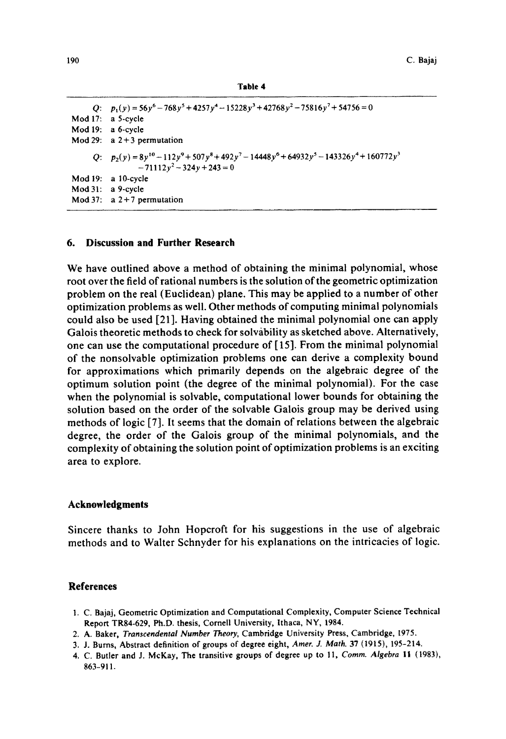```
Table 4
```

```
Q: p_1(y) = 56y^6 - 768y^5 + 4257y^4 - 15228y^3 + 42768y^2 - 75816y^7 + 54756 = 0Mod 17: 
a 5-cycle 
Mod 19: 
a 6-cycle 
Mod 29: 
a 2+3 permutation 
     Q: p_2(y) = 8y^{10} - 112y^9 + 507y^8 + 492y^7 - 14448y^6 + 64932y^5 - 143326y^4 + 160772y^3Mod 19: 
a 10-cycle 
Mod 31: 
a 9-cycle 
Mod 37: a 2 + 7 permutation
                 -71112y^2-324y+243=0
```
## **6. Discussion and Further Research**

We have outlined above a method of obtaining the minimal polynomial, whose root over the field of rational numbers is the solution of the geometric optimization problem on the real (Euclidean) plane. This may be applied to a number of other optimization problems as well. Other methods of computing minimal polynomials could also be used [21]. Having obtained the minimal polynomial one can apply Galois theoretic methods to check for solvability as sketched above. Alternatively, one can use the computational procedure of [ 15]. From the minimal polynomial of the nonsolvable optimization problems one can derive a complexity bound for approximations which primarily depends on the algebraic degree of the optimum solution point (the degree of the minimal polynomial). For the case when the polynomial is solvable, computational lower bounds for obtaining the solution based on the order of the solvable Galois group may be derived using methods of logic [7]. It seems that the domain of relations between the algebraic degree, the order of the Galois group of the minimal polynomials, and the complexity of obtaining the solution point of optimization problems is an exciting area to explore.

#### **Acknowledgments**

Sincere thanks to John Hopcroft for his suggestions in the use of algebraic methods and to Walter Schnyder for his explanations on the intricacies of logic.

## **References**

- 1. C. Bajaj, Geometric Optimization and Computational Complexity, Computer Science Technical Report TR84-629, Ph.D. thesis, Cornell University, Ithaca, NY, 1984.
- 2. A. Baker, *Transcendental Number Theory,* Cambridge University Press, Cambridge, 1975.
- 3. J. Burns, Abstract definition of groups of degree eight, *Amer. J. Math.* 37 (t915), 195-214.
- 4. C. Butler and J. McKay, The transitive groups of degree up to 11, *Comm. Algebra* il (1983), 863-911.